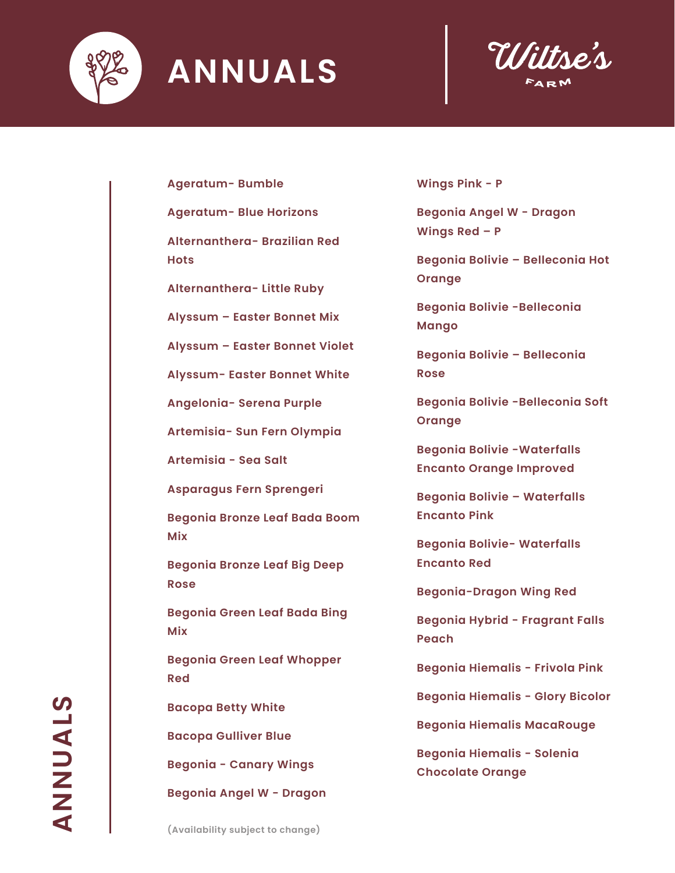



**Ageratum- Bumble**

**Ageratum- Blue Horizons**

**Alternanthera- Brazilian Red Hots**

**Alternanthera- Little Ruby**

**Alyssum – Easter Bonnet Mix**

**Alyssum – Easter Bonnet Violet**

**Alyssum- Easter Bonnet White**

**Angelonia- Serena Purple**

**Artemisia- Sun Fern Olympia**

**Artemisia - Sea Salt**

**Asparagus Fern Sprengeri**

**Begonia Bronze Leaf Bada Boom Mix**

**Begonia Bronze Leaf Big Deep Rose**

**Begonia Green Leaf Bada Bing Mix**

**Begonia Green Leaf Whopper Red**

**Bacopa Betty White**

**Bacopa Gulliver Blue**

**Begonia - Canary Wings**

**Begonia Angel W - Dragon** 

**Wings Pink - P**

**Begonia Angel W - Dragon Wings Red – P**

**Begonia Bolivie – Belleconia Hot Orange**

**Begonia Bolivie -Belleconia Mango**

**Begonia Bolivie – Belleconia Rose**

**Begonia Bolivie -Belleconia Soft Orange**

**Begonia Bolivie -Waterfalls Encanto Orange Improved**

**Begonia Bolivie – Waterfalls Encanto Pink**

**Begonia Bolivie- Waterfalls Encanto Red**

**Begonia-Dragon Wing Red**

**Begonia Hybrid - Fragrant Falls Peach** 

**Begonia Hiemalis - Frivola Pink**

**Begonia Hiemalis - Glory Bicolor**

**Begonia Hiemalis MacaRouge**

**Begonia Hiemalis - Solenia Chocolate Orange**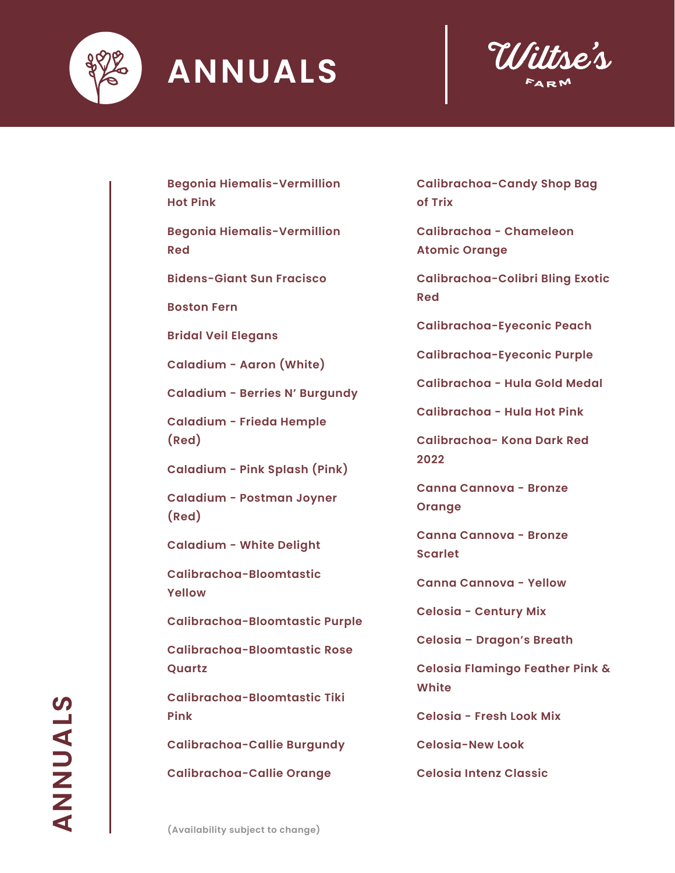



**Begonia Hiemalis-Vermillion Hot Pink**

**Begonia Hiemalis-Vermillion Red**

**Bidens-Giant Sun Fracisco**

**Boston Fern**

**Bridal Veil Elegans**

**Caladium - Aaron (White)**

**Caladium - Berries N' Burgundy**

**Caladium - Frieda Hemple (Red)**

**Caladium - Pink Splash (Pink)**

**Caladium - Postman Joyner (Red)**

**Caladium - White Delight**

**Calibrachoa-Bloomtastic Yellow**

**Calibrachoa-Bloomtastic Purple**

**Calibrachoa-Bloomtastic Rose Quartz**

**Calibrachoa-Bloomtastic Tiki Pink**

**Calibrachoa-Callie Burgundy**

**Calibrachoa-Callie Orange**

**Calibrachoa-Candy Shop Bag of Trix**

**Calibrachoa - Chameleon Atomic Orange**

**Calibrachoa-Colibri Bling Exotic Red**

**Calibrachoa-Eyeconic Peach**

**Calibrachoa-Eyeconic Purple**

**Calibrachoa - Hula Gold Medal**

**Calibrachoa - Hula Hot Pink**

**Calibrachoa- Kona Dark Red 2022**

**Canna Cannova - Bronze Orange**

**Canna Cannova - Bronze Scarlet**

**Canna Cannova - Yellow**

**Celosia - Century Mix**

**Celosia – Dragon's Breath**

**Celosia Flamingo Feather Pink & White**

**Celosia - Fresh Look Mix** 

**Celosia-New Look**

**Celosia Intenz Classic**

STANNNY **ANNUALS**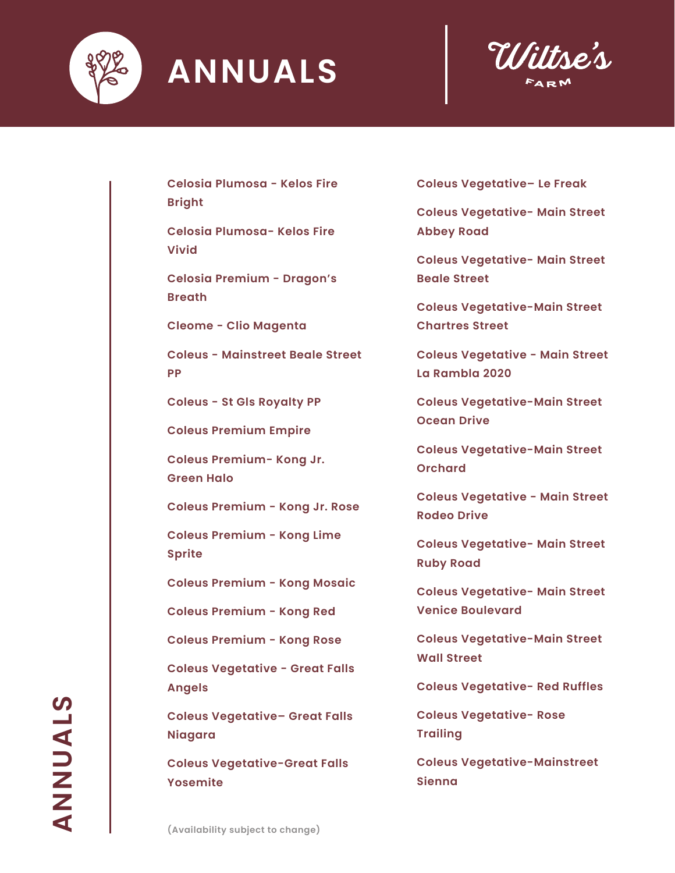



**Celosia Plumosa - Kelos Fire Bright**

**Celosia Plumosa- Kelos Fire Vivid**

**Celosia Premium - Dragon's Breath**

**Cleome - Clio Magenta**

**Coleus - Mainstreet Beale Street PP**

**Coleus - St Gls Royalty PP**

**Coleus Premium Empire**

**Coleus Premium- Kong Jr. Green Halo**

**Coleus Premium - Kong Jr. Rose** 

**Coleus Premium - Kong Lime Sprite** 

**Coleus Premium - Kong Mosaic** 

**Coleus Premium - Kong Red** 

**Coleus Premium - Kong Rose** 

**Coleus Vegetative - Great Falls Angels** 

**Coleus Vegetative– Great Falls Niagara**

**Coleus Vegetative-Great Falls Yosemite**

**Coleus Vegetative– Le Freak**

**Coleus Vegetative- Main Street Abbey Road**

**Coleus Vegetative- Main Street Beale Street**

**Coleus Vegetative-Main Street Chartres Street**

**Coleus Vegetative - Main Street La Rambla 2020**

**Coleus Vegetative-Main Street Ocean Drive**

**Coleus Vegetative-Main Street Orchard**

**Coleus Vegetative - Main Street Rodeo Drive**

**Coleus Vegetative- Main Street Ruby Road**

**Coleus Vegetative- Main Street Venice Boulevard**

**Coleus Vegetative-Main Street Wall Street**

**Coleus Vegetative- Red Ruffles**

**Coleus Vegetative- Rose Trailing**

**Coleus Vegetative-Mainstreet Sienna**

STANNNAS **ANNUALS**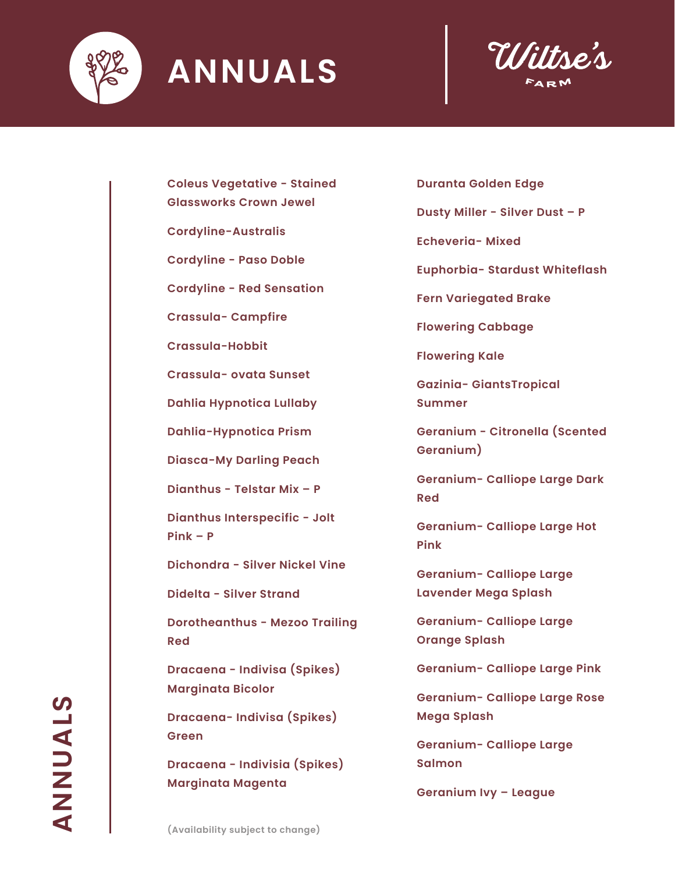



**Coleus Vegetative - Stained** 

**Glassworks Crown Jewel**

**Cordyline-Australis**

**Cordyline - Paso Doble**

**Cordyline - Red Sensation**

**Crassula- Campfire**

**Crassula-Hobbit**

**Crassula- ovata Sunset**

**Dahlia Hypnotica Lullaby**

**Dahlia-Hypnotica Prism**

**Diasca-My Darling Peach**

**Dianthus - Telstar Mix – P**

**Dianthus Interspecific - Jolt Pink – P**

**Dichondra - Silver Nickel Vine**

**Didelta - Silver Strand** 

**Dorotheanthus - Mezoo Trailing Red**

**Dracaena - Indivisa (Spikes) Marginata Bicolor**

**Dracaena- Indivisa (Spikes) Green**

**Dracaena - Indivisia (Spikes) Marginata Magenta**

**Duranta Golden Edge**

**Dusty Miller - Silver Dust – P** 

**Echeveria- Mixed**

**Euphorbia- Stardust Whiteflash**

**Fern Variegated Brake**

**Flowering Cabbage** 

**Flowering Kale**

**Gazinia- GiantsTropical Summer**

**Geranium - Citronella (Scented Geranium)**

**Geranium- Calliope Large Dark Red**

**Geranium- Calliope Large Hot Pink**

**Geranium- Calliope Large Lavender Mega Splash**

**Geranium- Calliope Large Orange Splash**

**Geranium- Calliope Large Pink**

**Geranium- Calliope Large Rose Mega Splash**

**Geranium- Calliope Large Salmon**

**Geranium Ivy – League**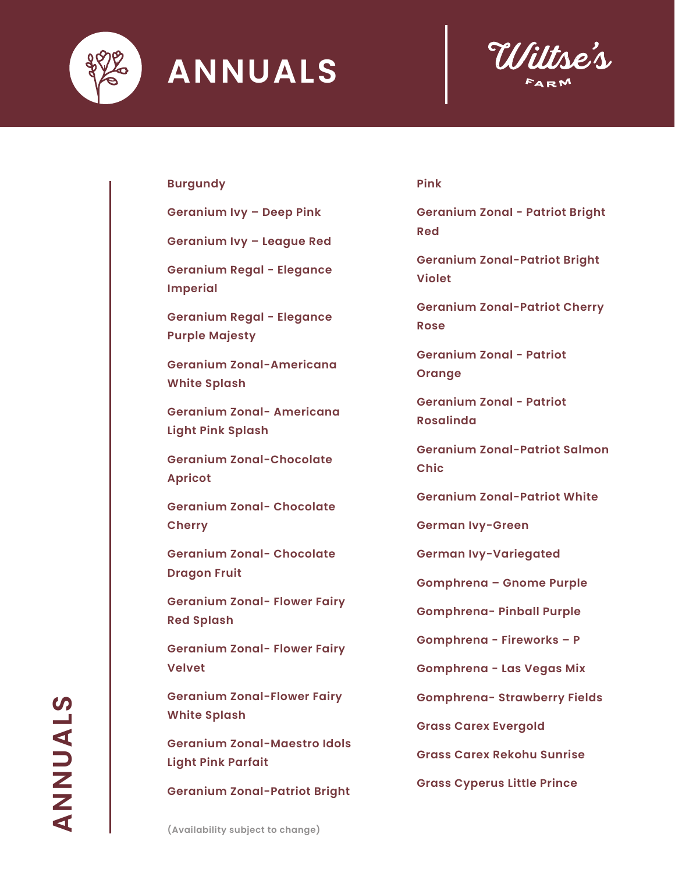



#### **Burgundy**

**Geranium Ivy – Deep Pink**

**Geranium Ivy – League Red**

**Geranium Regal - Elegance Imperial** 

**Geranium Regal - Elegance Purple Majesty** 

**Geranium Zonal-Americana White Splash**

**Geranium Zonal- Americana Light Pink Splash**

**Geranium Zonal-Chocolate Apricot**

**Geranium Zonal- Chocolate Cherry**

**Geranium Zonal- Chocolate Dragon Fruit**

**Geranium Zonal- Flower Fairy Red Splash**

**Geranium Zonal- Flower Fairy Velvet**

**Geranium Zonal-Flower Fairy White Splash**

**Geranium Zonal-Maestro Idols Light Pink Parfait**

**Geranium Zonal-Patriot Bright** 

#### **Pink**

**Geranium Zonal - Patriot Bright Red**

**Geranium Zonal-Patriot Bright Violet**

**Geranium Zonal-Patriot Cherry Rose**

**Geranium Zonal - Patriot Orange** 

**Geranium Zonal - Patriot Rosalinda**

**Geranium Zonal-Patriot Salmon Chic**

**Geranium Zonal-Patriot White**

**German Ivy-Green**

**German Ivy-Variegated**

**Gomphrena – Gnome Purple**

**Gomphrena- Pinball Purple**

**Gomphrena - Fireworks – P**

**Gomphrena - Las Vegas Mix**

**Gomphrena- Strawberry Fields**

**Grass Carex Evergold**

**Grass Carex Rekohu Sunrise**

**Grass Cyperus Little Prince**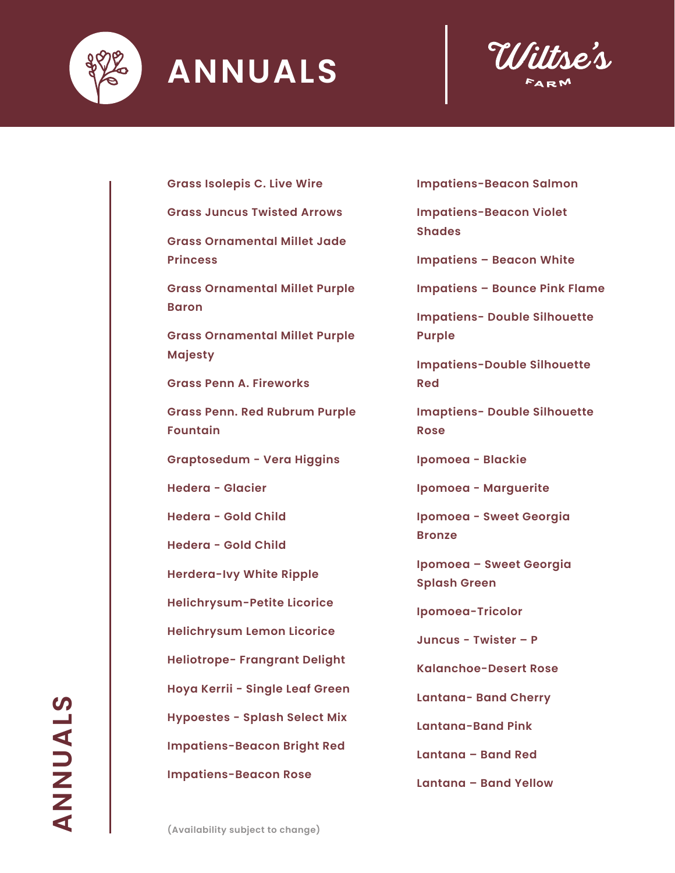



**Grass Isolepis C. Live Wire**

**Grass Juncus Twisted Arrows**

**Grass Ornamental Millet Jade Princess**

**Grass Ornamental Millet Purple Baron**

**Grass Ornamental Millet Purple Majesty**

**Grass Penn A. Fireworks**

**Grass Penn. Red Rubrum Purple Fountain**

**Graptosedum - Vera Higgins**

**Hedera - Glacier**

**Hedera - Gold Child**

**Hedera - Gold Child**

**Herdera-Ivy White Ripple**

**Helichrysum-Petite Licorice**

**Helichrysum Lemon Licorice**

**Heliotrope- Frangrant Delight**

**Hoya Kerrii - Single Leaf Green**

**Hypoestes - Splash Select Mix**

**Impatiens-Beacon Bright Red** 

**Impatiens-Beacon Rose** 

**Impatiens-Beacon Salmon** 

**Impatiens-Beacon Violet Shades** 

**Impatiens – Beacon White**

**Impatiens – Bounce Pink Flame**

**Impatiens- Double Silhouette Purple**

**Impatiens-Double Silhouette Red**

**Imaptiens- Double Silhouette Rose**

**Ipomoea - Blackie**

**Ipomoea - Marguerite**

**Ipomoea - Sweet Georgia Bronze**

**Ipomoea – Sweet Georgia Splash Green**

**Ipomoea-Tricolor**

**Juncus - Twister – P**

**Kalanchoe-Desert Rose**

**Lantana- Band Cherry**

**Lantana-Band Pink**

**Lantana – Band Red**

**Lantana – Band Yellow**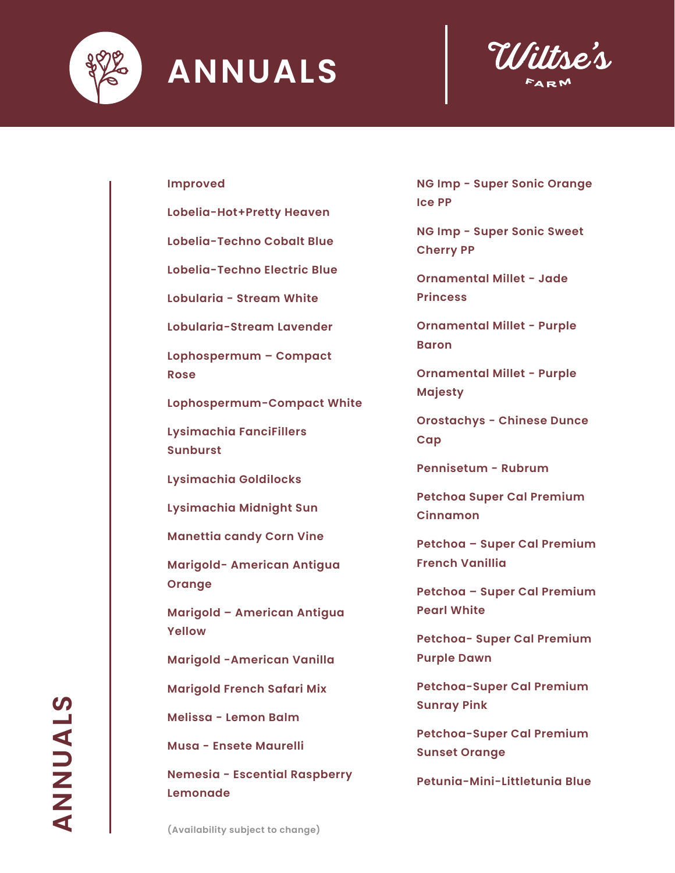



#### **Improved**

**Lobelia-Hot+Pretty Heaven**

**Lobelia-Techno Cobalt Blue**

**Lobelia-Techno Electric Blue**

**Lobularia - Stream White**

**Lobularia-Stream Lavender**

**Lophospermum – Compact Rose**

**Lophospermum-Compact White**

**Lysimachia FanciFillers Sunburst**

**Lysimachia Goldilocks**

**Lysimachia Midnight Sun**

**Manettia candy Corn Vine**

**Marigold- American Antigua Orange**

**Marigold – American Antigua Yellow** 

**Marigold -American Vanilla** 

**Marigold French Safari Mix**

**Melissa - Lemon Balm**

**Musa - Ensete Maurelli**

**Nemesia - Escential Raspberry Lemonade**

**NG Imp - Super Sonic Orange Ice PP**

**NG Imp - Super Sonic Sweet Cherry PP**

**Ornamental Millet - Jade Princess**

**Ornamental Millet - Purple Baron**

**Ornamental Millet - Purple Majesty**

**Orostachys - Chinese Dunce Cap**

**Pennisetum - Rubrum**

**Petchoa Super Cal Premium Cinnamon**

**Petchoa – Super Cal Premium French Vanillia**

**Petchoa – Super Cal Premium Pearl White**

**Petchoa- Super Cal Premium Purple Dawn**

**Petchoa-Super Cal Premium Sunray Pink**

**Petchoa-Super Cal Premium Sunset Orange**

**Petunia-Mini-Littletunia Blue**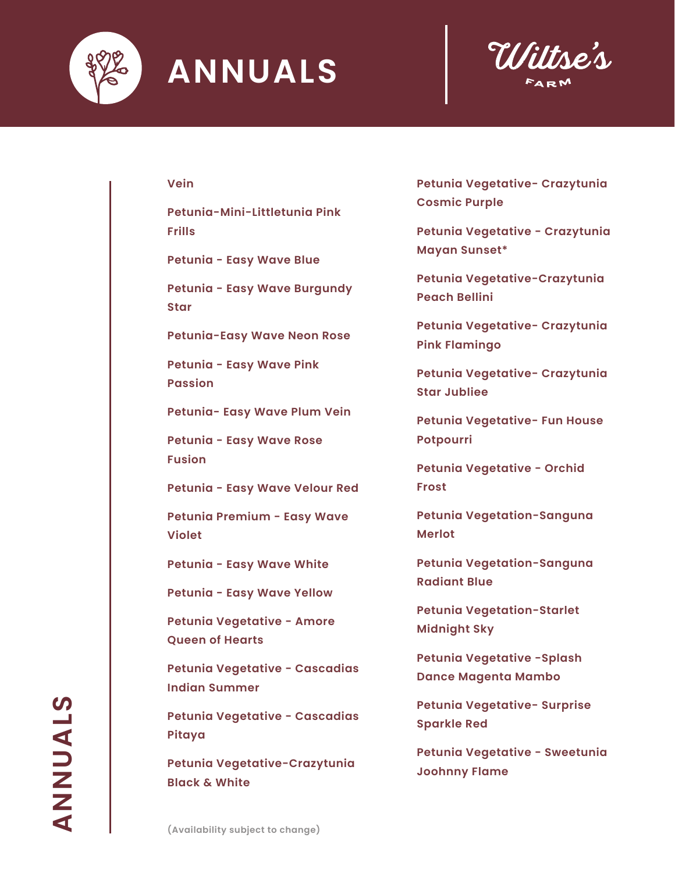



#### **Vein**

**Petunia-Mini-Littletunia Pink Frills**

**Petunia - Easy Wave Blue** 

**Petunia - Easy Wave Burgundy Star**

**Petunia-Easy Wave Neon Rose**

**Petunia - Easy Wave Pink Passion** 

**Petunia- Easy Wave Plum Vein**

**Petunia - Easy Wave Rose Fusion** 

**Petunia - Easy Wave Velour Red** 

**Petunia Premium - Easy Wave Violet**

**Petunia - Easy Wave White** 

**Petunia - Easy Wave Yellow** 

**Petunia Vegetative - Amore Queen of Hearts**

**Petunia Vegetative - Cascadias Indian Summer**

**Petunia Vegetative - Cascadias Pitaya**

**Petunia Vegetative-Crazytunia Black & White**

**Petunia Vegetative- Crazytunia Cosmic Purple**

**Petunia Vegetative - Crazytunia Mayan Sunset\***

**Petunia Vegetative-Crazytunia Peach Bellini**

**Petunia Vegetative- Crazytunia Pink Flamingo**

**Petunia Vegetative- Crazytunia Star Jubliee**

**Petunia Vegetative- Fun House Potpourri**

**Petunia Vegetative - Orchid Frost**

**Petunia Vegetation-Sanguna Merlot**

**Petunia Vegetation-Sanguna Radiant Blue**

**Petunia Vegetation-Starlet Midnight Sky**

**Petunia Vegetative -Splash Dance Magenta Mambo** 

**Petunia Vegetative- Surprise Sparkle Red**

**Petunia Vegetative - Sweetunia Joohnny Flame**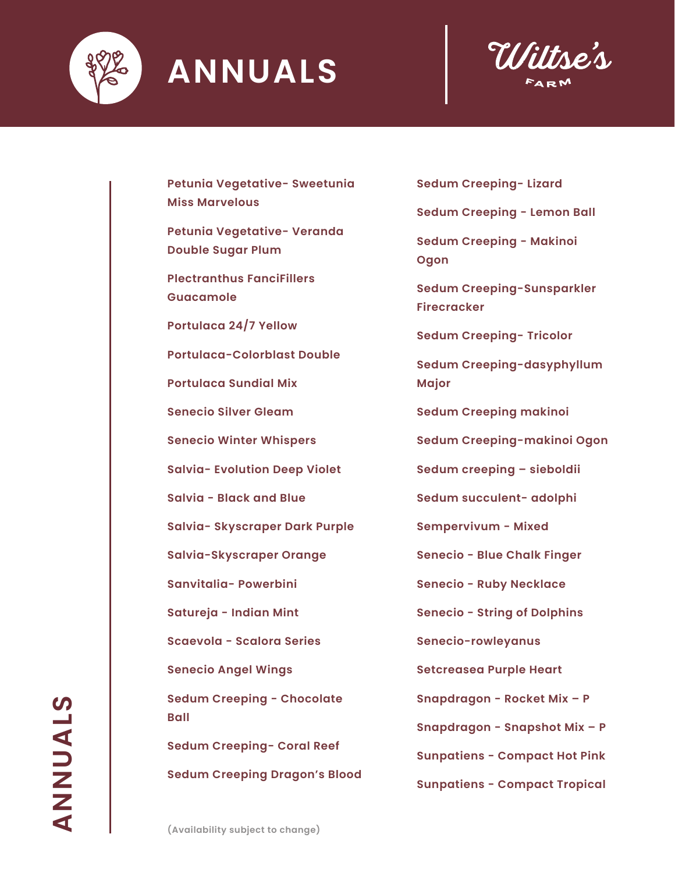



**Petunia Vegetative- Sweetunia Miss Marvelous**

**Petunia Vegetative- Veranda Double Sugar Plum**

**Plectranthus FanciFillers Guacamole**

**Portulaca 24/7 Yellow**

**Portulaca-Colorblast Double**

**Portulaca Sundial Mix**

**Senecio Silver Gleam**

**Senecio Winter Whispers**

**Salvia- Evolution Deep Violet**

**Salvia - Black and Blue**

**Salvia- Skyscraper Dark Purple**

**Salvia-Skyscraper Orange**

**Sanvitalia- Powerbini**

**Satureja - Indian Mint**

**Scaevola - Scalora Series**

**Senecio Angel Wings**

**Sedum Creeping - Chocolate Ball**

**Sedum Creeping- Coral Reef**

**Sedum Creeping Dragon's Blood**

**Sedum Creeping- Lizard**

**Sedum Creeping - Lemon Ball**

**Sedum Creeping - Makinoi Ogon**

**Sedum Creeping-Sunsparkler Firecracker**

**Sedum Creeping- Tricolor**

**Sedum Creeping-dasyphyllum Major**

**Sedum Creeping makinoi**

**Sedum Creeping-makinoi Ogon**

**Sedum creeping – sieboldii**

**Sedum succulent- adolphi**

**Sempervivum - Mixed**

**Senecio - Blue Chalk Finger**

**Senecio - Ruby Necklace**

**Senecio - String of Dolphins**

**Senecio-rowleyanus**

**Setcreasea Purple Heart** 

**Snapdragon - Rocket Mix – P**

**Snapdragon - Snapshot Mix – P**

**Sunpatiens - Compact Hot Pink**

**Sunpatiens - Compact Tropical**